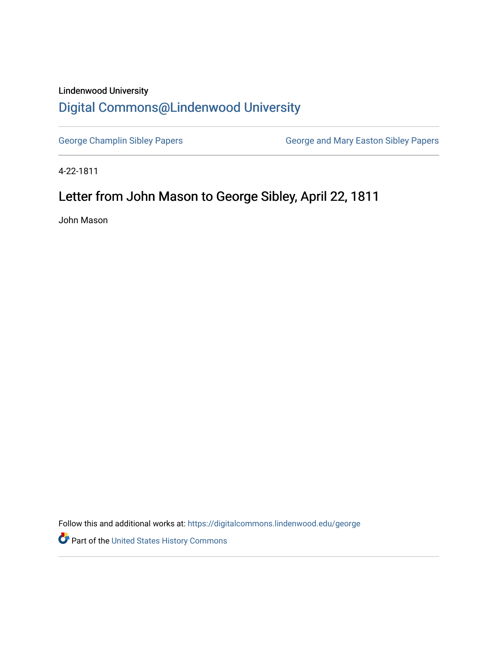## Lindenwood University [Digital Commons@Lindenwood University](https://digitalcommons.lindenwood.edu/)

[George Champlin Sibley Papers](https://digitalcommons.lindenwood.edu/george) **George and Mary Easton Sibley Papers** George and Mary Easton Sibley Papers

4-22-1811

## Letter from John Mason to George Sibley, April 22, 1811

John Mason

Follow this and additional works at: [https://digitalcommons.lindenwood.edu/george](https://digitalcommons.lindenwood.edu/george?utm_source=digitalcommons.lindenwood.edu%2Fgeorge%2F249&utm_medium=PDF&utm_campaign=PDFCoverPages)

Part of the [United States History Commons](http://network.bepress.com/hgg/discipline/495?utm_source=digitalcommons.lindenwood.edu%2Fgeorge%2F249&utm_medium=PDF&utm_campaign=PDFCoverPages)